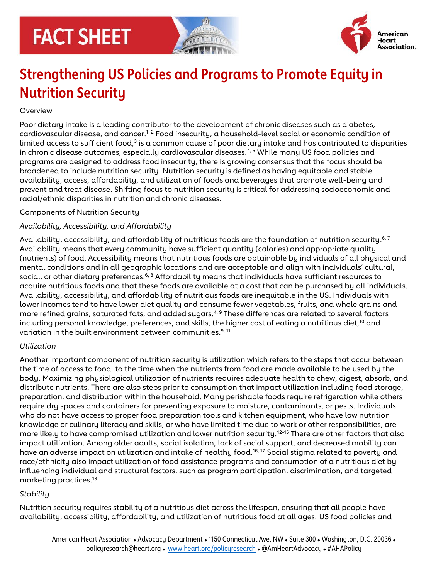# **FACT SHEET**





# **Strengthening US Policies and Programs to Promote Equity in Nutrition Security**

### **Overview**

Poor dietary intake is a leading contributor to the development of chronic diseases such as diabetes, cardiovascular disease, and cancer. $^{1,\,2}$  Food insecurity, a household-level social or economic condition of limited access to sufficient food, $^3$  is a common cause of poor dietary intake and has contributed to disparities in chronic disease outcomes, especially cardiovascular diseases.<sup>4,5</sup> While many US food policies and programs are designed to address food insecurity, there is growing consensus that the focus should be broadened to include nutrition security. Nutrition security is defined as having equitable and stable availability, access, affordability, and utilization of foods and beverages that promote well-being and prevent and treat disease. Shifting focus to nutrition security is critical for addressing socioeconomic and racial/ethnic disparities in nutrition and chronic diseases.

#### Components of Nutrition Security

# *Availability, Accessibility, and Affordability*

Availability, accessibility, and affordability of nutritious foods are the foundation of nutrition security.<sup>6, 7</sup> Availability means that every community have sufficient quantity (calories) and appropriate quality (nutrients) of food. Accessibility means that nutritious foods are obtainable by individuals of all physical and mental conditions and in all geographic locations and are acceptable and align with individuals' cultural, social, or other dietary preferences. $6, 8$  Affordability means that individuals have sufficient resources to acquire nutritious foods and that these foods are available at a cost that can be purchased by all individuals. Availability, accessibility, and affordability of nutritious foods are inequitable in the US. Individuals with lower incomes tend to have lower diet quality and consume fewer vegetables, fruits, and whole grains and more refined grains, saturated fats, and added sugars.<sup>4, 9</sup> These differences are related to several factors including personal knowledge, preferences, and skills, the higher cost of eating a nutritious diet,<sup>10</sup> and variation in the built environment between communities.<sup>9, 11</sup>

# *Utilization*

Another important component of nutrition security is utilization which refers to the steps that occur between the time of access to food, to the time when the nutrients from food are made available to be used by the body. Maximizing physiological utilization of nutrients requires adequate health to chew, digest, absorb, and distribute nutrients. There are also steps prior to consumption that impact utilization including food storage, preparation, and distribution within the household. Many perishable foods require refrigeration while others require dry spaces and containers for preventing exposure to moisture, contaminants, or pests. Individuals who do not have access to proper food preparation tools and kitchen equipment, who have low nutrition knowledge or culinary literacy and skills, or who have limited time due to work or other responsibilities, are more likely to have compromised utilization and lower nutrition security.12-15 There are other factors that also impact utilization. Among older adults, social isolation, lack of social support, and decreased mobility can have an adverse impact on utilization and intake of healthy food.<sup>16, 17</sup> Social stigma related to poverty and race/ethnicity also impact utilization of food assistance programs and consumption of a nutritious diet by influencing individual and structural factors, such as program participation, discrimination, and targeted marketing practices.<sup>18</sup>

# *Stability*

Nutrition security requires stability of a nutritious diet across the lifespan, ensuring that all people have availability, accessibility, affordability, and utilization of nutritious food at all ages. US food policies and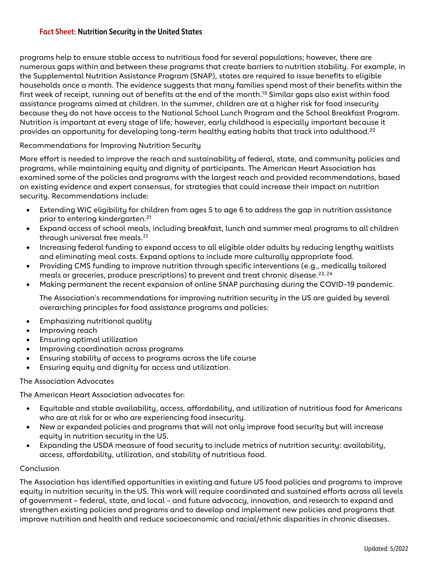#### **Fact Sheet: Nutrition Security in the United States**

programs help to ensure stable access to nutritious food for several populations; however, there are numerous gaps within and between these programs that create barriers to nutrition stability. For example, in the Supplemental Nutrition Assistance Program (SNAP), states are required to issue benefits to eligible households once a month. The evidence suggests that many families spend most of their benefits within the first week of receipt, running out of benefits at the end of the month.<sup>19</sup> Similar gaps also exist within food assistance programs aimed at children. In the summer, children are at a higher risk for food insecurity because they do not have access to the National School Lunch Program and the School Breakfast Program. Nutrition is important at every stage of life; however, early childhood is especially important because it provides an opportunity for developing long-term healthy eating habits that track into adulthood.<sup>20</sup>

#### Recommendations for Improving Nutrition Security

More effort is needed to improve the reach and sustainability of federal, state, and community policies and programs, while maintaining equity and dignity of participants. The American Heart Association has examined some of the policies and programs with the largest reach and provided recommendations, based on existing evidence and expert consensus, for strategies that could increase their impact on nutrition security. Recommendations include:

- Extending WIC eligibility for children from ages 5 to age 6 to address the gap in nutrition assistance prior to entering kindergarten.<sup>21</sup>
- Expand access of school meals, including breakfast, lunch and summer meal programs to all children through universal free meals. $^{22}$
- Increasing federal funding to expand access to all eligible older adults by reducing lengthy waitlists and eliminating meal costs. Expand options to include more culturally appropriate food.
- Providing CMS funding to improve nutrition through specific interventions (e.g., medically tailored meals or groceries, produce prescriptions) to prevent and treat chronic disease.<sup>23, 24</sup>
- Making permanent the recent expansion of online SNAP purchasing during the COVID-19 pandemic.

The Association's recommendations for improving nutrition security in the US are guided by several overarching principles for food assistance programs and policies:

- Emphasizing nutritional quality
- Improving reach
- Ensuring optimal utilization
- Improving coordination across programs
- Ensuring stability of access to programs across the life course
- Ensuring equity and dignity for access and utilization.

#### The Association Advocates

The American Heart Association advocates for:

- Equitable and stable availability, access, affordability, and utilization of nutritious food for Americans who are at risk for or who are experiencing food insecurity.
- New or expanded policies and programs that will not only improve food security but will increase equity in nutrition security in the US.
- Expanding the USDA measure of food security to include metrics of nutrition security: availability, access, affordability, utilization, and stability of nutritious food.

#### Conclusion

The Association has identified opportunities in existing and future US food policies and programs to improve equity in nutrition security in the US. This work will require coordinated and sustained efforts across all levels of government – federal, state, and local – and future advocacy, innovation, and research to expand and strengthen existing policies and programs and to develop and implement new policies and programs that improve nutrition and health and reduce socioeconomic and racial/ethnic disparities in chronic diseases.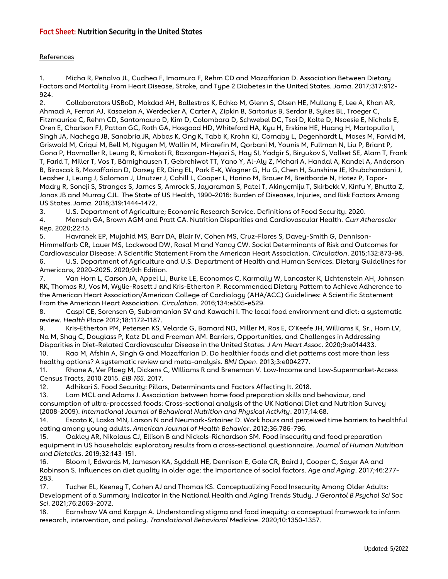#### **Fact Sheet: Nutrition Security in the United States**

#### References

1. Micha R, Peñalvo JL, Cudhea F, Imamura F, Rehm CD and Mozaffarian D. Association Between Dietary Factors and Mortality From Heart Disease, Stroke, and Type 2 Diabetes in the United States. *Jama*. 2017;317:912- 924.

2. Collaborators USBoD, Mokdad AH, Ballestros K, Echko M, Glenn S, Olsen HE, Mullany E, Lee A, Khan AR, Ahmadi A, Ferrari AJ, Kasaeian A, Werdecker A, Carter A, Zipkin B, Sartorius B, Serdar B, Sykes BL, Troeger C, Fitzmaurice C, Rehm CD, Santomauro D, Kim D, Colombara D, Schwebel DC, Tsoi D, Kolte D, Nsoesie E, Nichols E, Oren E, Charlson FJ, Patton GC, Roth GA, Hosgood HD, Whiteford HA, Kyu H, Erskine HE, Huang H, Martopullo I, Singh JA, Nachega JB, Sanabria JR, Abbas K, Ong K, Tabb K, Krohn KJ, Cornaby L, Degenhardt L, Moses M, Farvid M, Griswold M, Criqui M, Bell M, Nguyen M, Wallin M, Mirarefin M, Qorbani M, Younis M, Fullman N, Liu P, Briant P, Gona P, Havmoller R, Leung R, Kimokoti R, Bazargan-Hejazi S, Hay SI, Yadgir S, Biryukov S, Vollset SE, Alam T, Frank T, Farid T, Miller T, Vos T, Bärnighausen T, Gebrehiwot TT, Yano Y, Al-Aly Z, Mehari A, Handal A, Kandel A, Anderson B, Biroscak B, Mozaffarian D, Dorsey ER, Ding EL, Park E-K, Wagner G, Hu G, Chen H, Sunshine JE, Khubchandani J, Leasher J, Leung J, Salomon J, Unutzer J, Cahill L, Cooper L, Horino M, Brauer M, Breitborde N, Hotez P, Topor-Madry R, Soneji S, Stranges S, James S, Amrock S, Jayaraman S, Patel T, Akinyemiju T, Skirbekk V, Kinfu Y, Bhutta Z, Jonas JB and Murray CJL. The State of US Health, 1990-2016: Burden of Diseases, Injuries, and Risk Factors Among US States. *Jama*. 2018;319:1444-1472.

3. U.S. Department of Agriculture; Economic Research Service. Definitions of Food Security. 2020.

4. Mensah GA, Brown AGM and Pratt CA. Nutrition Disparities and Cardiovascular Health. *Curr Atheroscler Rep*. 2020;22:15.

5. Havranek EP, Mujahid MS, Barr DA, Blair IV, Cohen MS, Cruz-Flores S, Davey-Smith G, Dennison-Himmelfarb CR, Lauer MS, Lockwood DW, Rosal M and Yancy CW. Social Determinants of Risk and Outcomes for Cardiovascular Disease: A Scientific Statement From the American Heart Association. *Circulation*. 2015;132:873-98.

6. U.S. Department of Agriculture and U.S. Department of Health and Human Services. Dietary Guidelines for Americans, 2020-2025. 2020;9th Edition.

7. Van Horn L, Carson JA, Appel LJ, Burke LE, Economos C, Karmally W, Lancaster K, Lichtenstein AH, Johnson RK, Thomas RJ, Vos M, Wylie-Rosett J and Kris-Etherton P. Recommended Dietary Pattern to Achieve Adherence to the American Heart Association/American College of Cardiology (AHA/ACC) Guidelines: A Scientific Statement From the American Heart Association. *Circulation*. 2016;134:e505-e529.

8. Caspi CE, Sorensen G, Subramanian SV and Kawachi I. The local food environment and diet: a systematic review. *Health Place* 2012;18:1172-1187.

9. Kris-Etherton PM, Petersen KS, Velarde G, Barnard ND, Miller M, Ros E, O'Keefe JH, Williams K, Sr., Horn LV, Na M, Shay C, Douglass P, Katz DL and Freeman AM. Barriers, Opportunities, and Challenges in Addressing Disparities in Diet-Related Cardiovascular Disease in the United States. *J Am Heart Assoc*. 2020;9:e014433.

10. Rao M, Afshin A, Singh G and Mozaffarian D. Do healthier foods and diet patterns cost more than less healthy options? A systematic review and meta-analysis. *BMJ Open*. 2013;3:e004277.

11. Rhone A, Ver Ploeg M, Dickens C, WIlliams R and Breneman V. Low-Income and Low-Supermarket-Access Census Tracts, 2010‐2015. *EIB*‐*165*. 2017.

12. Adhikari S. Food Security: Pillars, Determinants and Factors Affecting It. 2018.

13. Lam MCL and Adams J. Association between home food preparation skills and behaviour, and consumption of ultra-processed foods: Cross-sectional analysis of the UK National Diet and Nutrition Survey (2008-2009). *International Journal of Behavioral Nutrition and Physical Activity*. 2017;14:68.

14. Escoto K, Laska MN, Larson N and Neumark-Sztainer D. Work hours and perceived time barriers to healthful eating among young adults. *American Journal of Health Behavior*. 2012;36:786-796.

15. Oakley AR, Nikolaus CJ, Ellison B and Nickols-Richardson SM. Food insecurity and food preparation equipment in US households: exploratory results from a cross-sectional questionnaire. *Journal of Human Nutrition and Dietetics*. 2019;32:143-151.

16. Bloom I, Edwards M, Jameson KA, Syddall HE, Dennison E, Gale CR, Baird J, Cooper C, Sayer AA and Robinson S. Influences on diet quality in older age: the importance of social factors. *Age and Aging*. 2017;46:277- 283.

17. Tucher EL, Keeney T, Cohen AJ and Thomas KS. Conceptualizing Food Insecurity Among Older Adults: Development of a Summary Indicator in the National Health and Aging Trends Study. *J Gerontol B Psychol Sci Soc Sci*. 2021;76:2063-2072.

18. Earnshaw VA and Karpyn A. Understanding stigma and food inequity: a conceptual framework to inform research, intervention, and policy. *Translational Behavioral Medicine*. 2020;10:1350-1357.